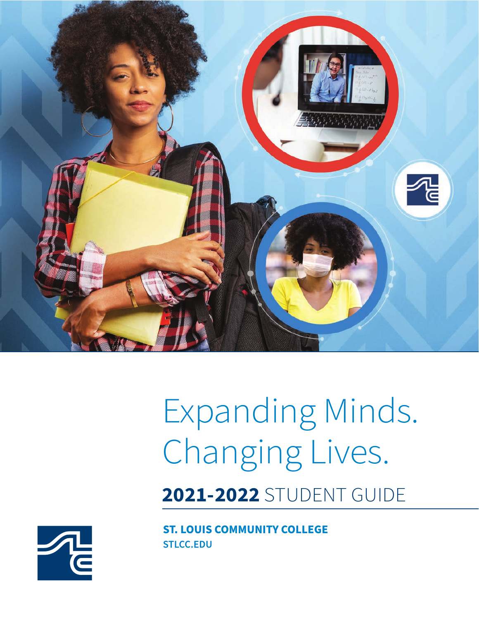

# Expanding Minds. Changing Lives.

**2021-2022** STUDENT GUIDE

**STLCC.EDU ST. LOUIS COMMUNITY COLLEGE**

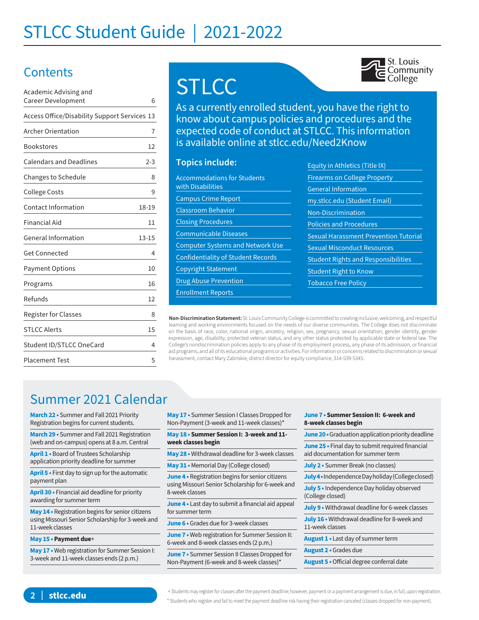# STLCC Student Guide | 2021-2022

### **Contents**

| Academic Advising and                        |           |
|----------------------------------------------|-----------|
| Career Development                           | 6         |
| Access Office/Disability Support Services 13 |           |
| Archer Orientation                           | 7         |
| Bookstores                                   | 12        |
| <b>Calendars and Deadlines</b>               | $2 - 3$   |
| Changes to Schedule                          | 8         |
| <b>College Costs</b>                         | 9         |
| Contact Information                          | 18-19     |
| Financial Aid                                | 11        |
| General Information                          | $13 - 15$ |
| <b>Get Connected</b>                         | 4         |
| <b>Payment Options</b>                       | 10        |
| Programs                                     | 16        |
| Refunds                                      | 12        |
| <b>Register for Classes</b>                  | 8         |
| <b>STLCC Alerts</b>                          | 15        |
| Student ID/STLCC OneCard                     | 4         |
| <b>Placement Test</b>                        | 5         |

# **STLCC**



As a currently enrolled student, you have the right to know about campus policies and procedures and the expected code of conduct at STLCC. This information is available online at stlcc.edu/Need2Know

#### **Topics include:**

| <b>Accommodations for Students</b><br>with Disabilities |
|---------------------------------------------------------|
| <b>Campus Crime Report</b>                              |
| <b>Classroom Behavior</b>                               |
| <b>Closing Procedures</b>                               |
| <b>Communicable Diseases</b>                            |
| <b>Computer Systems and Network Use</b>                 |
| <b>Confidentiality of Student Records</b>               |
| <b>Copyright Statement</b>                              |
| <b>Drug Abuse Prevention</b>                            |
| <b>Enrollment Reports</b>                               |
|                                                         |

| <b>Equity in Athletics (Title IX)</b>        |
|----------------------------------------------|
| <b>Firearms on College Property</b>          |
| <b>General Information</b>                   |
| my.stlcc.edu (Student Email)                 |
| <b>Non-Discrimination</b>                    |
| <b>Policies and Procedures</b>               |
| <b>Sexual Harassment Prevention Tutorial</b> |
| <b>Sexual Misconduct Resources</b>           |
| <b>Student Rights and Responsibilities</b>   |
| <b>Student Right to Know</b>                 |
| <b>Tobacco Free Policy</b>                   |
|                                              |

**Non-Discrimination Statement:** St. Louis Community College is committed to creating inclusive, welcoming, and respectful learning and working environments focused on the needs of our diverse communities. The College does not discriminate on the basis of race, color, national origin, ancestry, religion, sex, pregnancy, sexual orientation, gender identity, gender expression, age, disability, protected veteran status, and any other status protected by applicable state or federal law. The College's nondiscrimination policies apply to any phase of its employment process, any phase of its admission, or financial aid programs, and all of its educational programs or activities. For information or concerns related to discrimination or sexual harassment, contact Mary Zabriskie, district director for equity compliance, 314-539-5345.

### Summer 2021 Calendar

**March 22 •** Summer and Fall 2021 Priority Registration begins for current students.

**March 29 •** Summer and Fall 2021 Registration (web and on-campus) opens at 8 a.m. Central

**April 1 •** Board of Trustees Scholarship application priority deadline for summer

**April 5 •** First day to sign up for the automatic payment plan

**April 30 •** Financial aid deadline for priority awarding for summer term

**May 14 •** Registration begins for senior citizens using Missouri Senior Scholarship for 3-week and 11-week classes

#### **May 15 • Payment due**+

**May 17 •** Web registration for Summer Session I: 3-week and 11-week classes ends (2 p.m.)

**May 17 •** Summer Session I Classes Dropped for Non-Payment (3-week and 11-week classes)\*

**May 18 • Summer Session I: 3-week and 11 week classes begin**

- **May 28 •** Withdrawal deadline for 3-week classes
- **May 31 •** Memorial Day (College closed)

**June 4 •** Registration begins for senior citizens using Missouri Senior Scholarship for 6-week and 8-week classes

**June 4 •** Last day to submit a financial aid appeal for summer term

**June 6 •** Grades due for 3-week classes

**June 7 •** Web registration for Summer Session II: 6-week and 8-week classes ends (2 p.m.)

**June 7** • Summer Session II Classes Dropped for Non-Payment (6-week and 8-week classes)\*

**June 7 • Summer Session II: 6-week and 8-week classes begin**

**June 20** • Graduation application priority deadline

**June 25 •** Final day to submit required financial aid documentation for summer term

**July 2 •** Summer Break (no classes)

**July 4 •** Independence Day holiday (College closed)

**July 5 •** Independence Day holiday observed (College closed)

**July 9 •** Withdrawal deadline for 6-week classes

**July 16 •** Withdrawal deadline for 8-week and 11-week classes

**August 1 •** Last day of summer term

**August 2 •** Grades due

**August 5 •** Official degree conferral date

+ Students may register for classes after the payment deadline; however, payment or a payment arrangement is due, in full, upon registration. \* Students who register and fail to meet the payment deadline risk having their registration canceled (classes dropped for non-payment).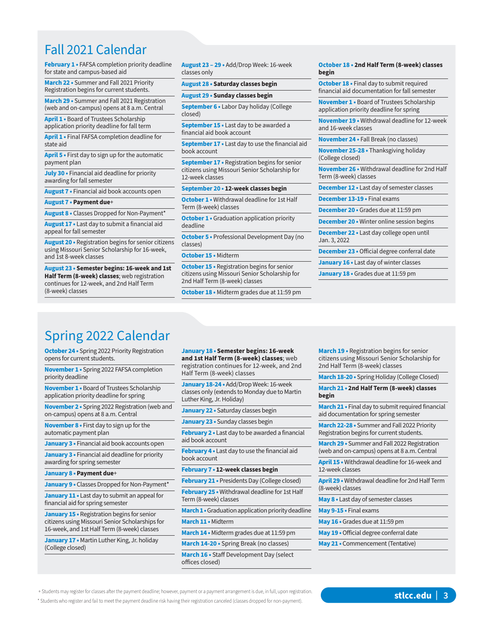### Fall 2021 Calendar

**February 1 •** FAFSA completion priority deadline for state and campus-based aid

**March 22 •** Summer and Fall 2021 Priority Registration begins for current students.

**March 29 •** Summer and Fall 2021 Registration (web and on-campus) opens at 8 a.m. Central

**April 1 •** Board of Trustees Scholarship application priority deadline for fall term

**April 1 •** Final FAFSA completion deadline for state aid

**April 5 •** First day to sign up for the automatic payment plan

**July 30 •** Financial aid deadline for priority awarding for fall semester

**August 7 •** Financial aid book accounts open

**August 7 • Payment due**+

**August 8 •** Classes Dropped for Non-Payment\*

**August 17 •** Last day to submit a financial aid appeal for fall semester

**August 20 •** Registration begins for senior citizens using Missouri Senior Scholarship for 16-week, and 1st 8-week classes

**August 23 • Semester begins: 16-week and 1st Half Term (8-week) classes**; web registration continues for 12-week, and 2nd Half Term (8-week) classes

**August 23 – 29 •** Add/Drop Week: 16-week classes only

#### **August 28 • Saturday classes begin**

**August 29 • Sunday classes begin**

**September 6 •** Labor Day holiday (College closed)

**September 15 •** Last day to be awarded a financial aid book account

**September 17 •** Last day to use the financial aid book account

**September 17 •** Registration begins for senior citizens using Missouri Senior Scholarship for 12-week classes

**September 20 • 12-week classes begin**

**October 1 •** Withdrawal deadline for 1st Half Term (8-week) classes

**October 1 •** Graduation application priority deadline

**October 5 •** Professional Development Day (no classes)

**October 15 •** Midterm

**October 15 •** Registration begins for senior citizens using Missouri Senior Scholarship for 2nd Half Term (8-week) classes

**October 18 •** Midterm grades due at 11:59 pm

#### **October 18 • 2nd Half Term (8-week) classes begin**

**October 18 •** Final day to submit required financial aid documentation for fall semester

**November 1 •** Board of Trustees Scholarship application priority deadline for spring

**November 19 •** Withdrawal deadline for 12-week and 16-week classes

**November 24 •** Fall Break (no classes)

**November 25-28 •** Thanksgiving holiday (College closed)

**November 26 •** Withdrawal deadline for 2nd Half Term (8-week) classes

**December 12 •** Last day of semester classes

**December 13-19 •** Final exams

**December 20 •** Grades due at 11:59 pm

**December 20 •** Winter online session begins

**December 22 •** Last day college open until Jan. 3, 2022

**December 23 •** Official degree conferral date

**January 16 •** Last day of winter classes

**January 18 •** Grades due at 11:59 pm

### Spring 2022 Calendar

**October 24 •** Spring 2022 Priority Registration opens for current students.

**November 1 •** Spring 2022 FAFSA completion priority deadline

**November 1 •** Board of Trustees Scholarship application priority deadline for spring

**November 2 •** Spring 2022 Registration (web and on-campus) opens at 8 a.m. Central

**November 8 •** First day to sign up for the automatic payment plan

**January 3 •** Financial aid book accounts open

**January 3 •** Financial aid deadline for priority awarding for spring semester

**January 8 • Payment due**+

**January 9 •** Classes Dropped for Non-Payment\*

**January 11 •** Last day to submit an appeal for financial aid for spring semester

**January 15 •** Registration begins for senior citizens using Missouri Senior Scholarships for 16-week, and 1st Half Term (8-week) classes

**January 17 •** Martin Luther King, Jr. holiday (College closed)

**January 18 • Semester begins: 16-week and 1st Half Term (8-week) classes**; web registration continues for 12-week, and 2nd Half Term (8-week) classes

**January 18-24 •** Add/Drop Week: 16-week classes only (extends to Monday due to Martin Luther King, Jr. Holiday)

**January 22 •** Saturday classes begin

**January 23 •** Sunday classes begin

**February 2 •** Last day to be awarded a financial aid book account

**February 4 •** Last day to use the financial aid book account

**February 7 • 12-week classes begin**

**February 21 •** Presidents Day (College closed)

**February 25 •** Withdrawal deadline for 1st Half Term (8-week) classes

**March 1 •** Graduation application priority deadline

**March 11 •** Midterm

**March 14 •** Midterm grades due at 11:59 pm

**March 14-20 •** Spring Break (no classes) **March 16 •** Staff Development Day (select offices closed)

**March 19 •** Registration begins for senior citizens using Missouri Senior Scholarship for 2nd Half Term (8-week) classes

**March 18-20 •** Spring Holiday (College Closed)

**March 21 • 2nd Half Term (8-week) classes begin**

**March 21 •** Final day to submit required financial aid documentation for spring semester

**March 22-28 •** Summer and Fall 2022 Priority Registration begins for current students.

**March 29 •** Summer and Fall 2022 Registration (web and on-campus) opens at 8 a.m. Central

**April 15 •** Withdrawal deadline for 16-week and 12-week classes

**April 29 •** Withdrawal deadline for 2nd Half Term (8-week) classes

**May 8 •** Last day of semester classes

**May 9-15 •** Final exams

**May 16 •** Grades due at 11:59 pm

**May 19 •** Official degree conferral date

**May 21 •** Commencement (Tentative)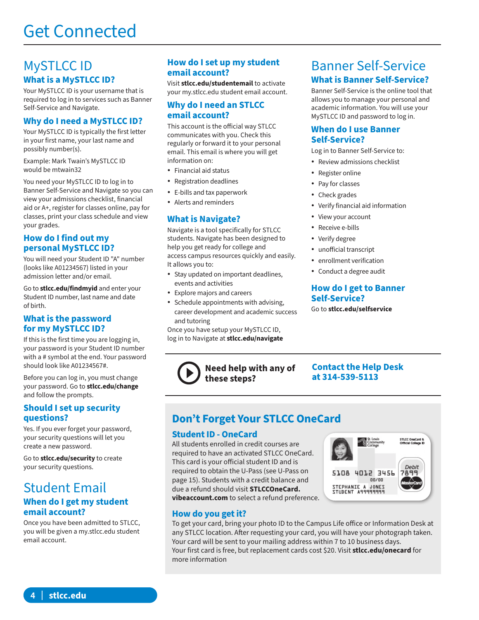### MySTLCC ID **What is a MySTLCC ID?**

Your MySTLCC ID is your username that is required to log in to services such as Banner Self-Service and Navigate.

### **Why do I need a MySTLCC ID?**

Your MySTLCC ID is typically the first letter in your first name, your last name and possibly number(s).

Example: Mark Twain's MySTLCC ID would be mtwain32

You need your MySTLCC ID to log in to Banner Self-Service and Navigate so you can view your admissions checklist, financial aid or A+, register for classes online, pay for classes, print your class schedule and view your grades.

### **How do I find out my personal MySTLCC ID?**

You will need your Student ID "A" number (looks like A01234567) listed in your admission letter and/or email.

Go to **stlcc.edu/findmyid** and enter your Student ID number, last name and date of birth.

### **What is the password for my MySTLCC ID?**

If this is the first time you are logging in, your password is your Student ID number with a # symbol at the end. Your password should look like A01234567#.

Before you can log in, you must change your password. Go to **stlcc.edu/change**  and follow the prompts.

### **Should I set up security questions?**

Yes. If you ever forget your password, your security questions will let you create a new password.

Go to **stlcc.edu/security** to create your security questions.

### Student Email **When do I get my student email account?**

Once you have been admitted to STLCC, you will be given a my.stlcc.edu student email account.

### **How do I set up my student email account?**

Visit **stlcc.edu/studentemail** to activate your my.stlcc.edu student email account.

### **Why do I need an STLCC email account?**

This account is the official way STLCC communicates with you. Check this regularly or forward it to your personal email. This email is where you will get information on:

- Financial aid status
- Registration deadlines
- E-bills and tax paperwork
- Alerts and reminders

### **What is Navigate?**

Navigate is a tool specifically for STLCC students. Navigate has been designed to help you get ready for college and access campus resources quickly and easily. It allows you to:

- Stay updated on important deadlines, events and activities
- Explore majors and careers
- Schedule appointments with advising, career development and academic success and tutoring

Once you have setup your MySTLCC ID, log in to Navigate at **stlcc.edu/navigate**

**these steps?**

### Banner Self-Service **What is Banner Self-Service?**

Banner Self-Service is the online tool that allows you to manage your personal and academic information. You will use your MySTLCC ID and password to log in.

### **When do I use Banner Self-Service?**

Log in to Banner Self-Service to:

- Review admissions checklist
- Register online
- Pay for classes
- Check grades
- Verify financial aid information
- View your account
- Receive e-bills
- Verify degree
- unofficial transcript
- enrollment verification
- Conduct a degree audit

### **How do I get to Banner Self-Service?**

Go to **stlcc.edu/selfservice** 

### **Contact the Help Desk at 314-539-5113**

### **Don't Forget Your STLCC OneCard**

**Need help with any of** 

### **Student ID - OneCard**

All students enrolled in credit courses are required to have an activated STLCC OneCard. This card is your official student ID and is required to obtain the U-Pass (see U-Pass on page 15). Students with a credit balance and due a refund should visit **STLCCOneCard. vibeaccount.com** to select a refund preference.



### **How do you get it?**

To get your card, bring your photo ID to the Campus Life office or Information Desk at any STLCC location. After requesting your card, you will have your photograph taken. Your card will be sent to your mailing address within 7 to 10 business days. Your first card is free, but replacement cards cost \$20. Visit **stlcc.edu/onecard** for more information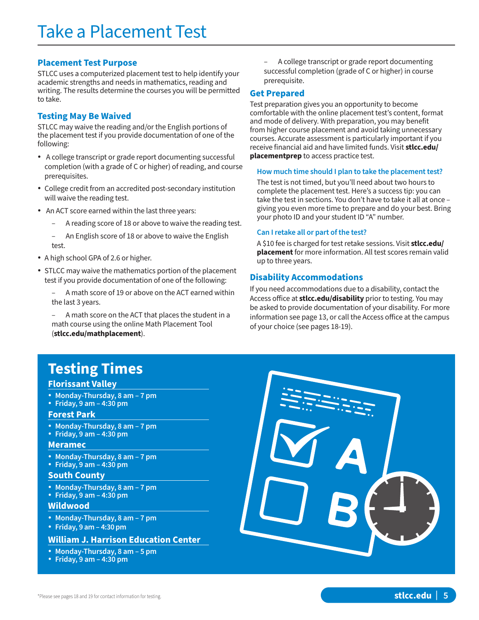### **Placement Test Purpose**

STLCC uses a computerized placement test to help identify your academic strengths and needs in mathematics, reading and writing. The results determine the courses you will be permitted to take.

### **Testing May Be Waived**

STLCC may waive the reading and/or the English portions of the placement test if you provide documentation of one of the following:

- A college transcript or grade report documenting successful completion (with a grade of C or higher) of reading, and course prerequisites.
- College credit from an accredited post-secondary institution will waive the reading test.
- An ACT score earned within the last three years:
	- A reading score of 18 or above to waive the reading test.
	- An English score of 18 or above to waive the English test.
- A high school GPA of 2.6 or higher.
- STLCC may waive the mathematics portion of the placement test if you provide documentation of one of the following:
	- A math score of 19 or above on the ACT earned within the last 3 years.

– A math score on the ACT that places the student in a math course using the online Math Placement Tool (**stlcc.edu/mathplacement**).

#### – A college transcript or grade report documenting successful completion (grade of C or higher) in course prerequisite.

### **Get Prepared**

Test preparation gives you an opportunity to become comfortable with the online placement test's content, format and mode of delivery. With preparation, you may benefit from higher course placement and avoid taking unnecessary courses. Accurate assessment is particularly important if you receive financial aid and have limited funds. Visit **stlcc.edu/ placementprep** to access practice test.

#### **How much time should I plan to take the placement test?**

The test is not timed, but you'll need about two hours to complete the placement test. Here's a success tip: you can take the test in sections. You don't have to take it all at once – giving you even more time to prepare and do your best. Bring your photo ID and your student ID "A" number.

### **Can I retake all or part of the test?**

A \$10 fee is charged for test retake sessions. Visit **stlcc.edu/ placement** for more information. All test scores remain valid up to three years.

### **Disability Accommodations**

If you need accommodations due to a disability, contact the Access office at **stlcc.edu/disability** prior to testing. You may be asked to provide documentation of your disability. For more information see page 13, or call the Access office at the campus of your choice (see pages 18-19).

### **Testing Times**

### **Florissant Valley**

- **Monday-Thursday, 8 am 7 pm**
- **Friday, 9 am 4:30 pm**

### **Forest Park**

- **Monday-Thursday, 8 am 7 pm**
- **Friday, 9 am 4:30 pm**

#### **Meramec**

- **Monday-Thursday, 8 am 7 pm**
- **Friday, 9 am 4:30 pm**

### **South County**

- **Monday-Thursday, 8 am 7 pm**
- **Friday, 9 am 4:30 pm**

### **Wildwood**

- **Monday-Thursday, 8 am 7 pm**
- **Friday, 9 am 4:30 pm**

### **William J. Harrison Education Center**

- **Monday-Thursday, 8 am 5 pm**
- **Friday, 9 am 4:30 pm**

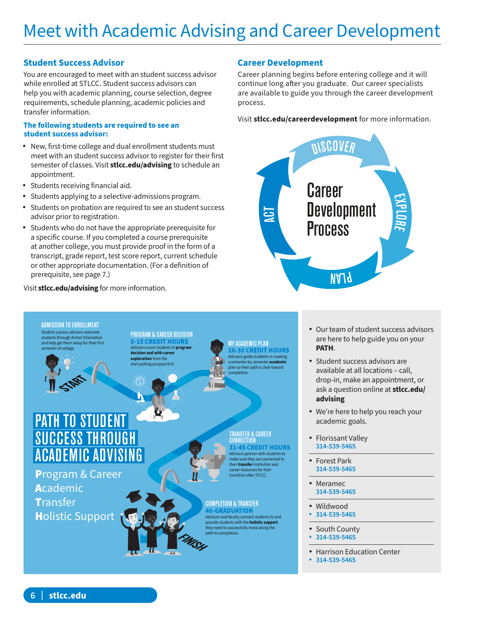### **Student Success Advisor**

You are encouraged to meet with an student success advisor while enrolled at STLCC. Student success advisors can help you with academic planning, course selection, degree requirements, schedule planning, academic policies and transfer information.

#### **The following students are required to see an student success advisor:**

- New, first-time college and dual enrollment students must meet with an student success advisor to register for their first semester of classes. Visit **stlcc.edu/advising** to schedule an appointment.
- Students receiving financial aid.
- Students applying to a selective-admissions program.
- Students on probation are required to see an student success advisor prior to registration.
- Students who do not have the appropriate prerequisite for a specific course. If you completed a course prerequisite at another college, you must provide proof in the form of a transcript, grade report, test score report, current schedule or other appropriate documentation. (For a definition of prerequisite, see page 7.)

### Visit **stlcc.edu/advising** for more information.

### **Career Development**

Career planning begins before entering college and it will continue long after you graduate. Our career specialists are available to guide you through the career development process.

Visit **stlcc.edu/careerdevelopment** for more information.





- Our team of student success advisors are here to help guide you on your **PATH**.
- Student success advisors are available at all locations – call, drop-in, make an appointment, or ask a question online at **stlcc.edu/ advising**
- We're here to help you reach your academic goals.
- Florissant Valley **314-539-5465**
- Forest Park **314-539-5465**
- Meramec
- **314-539-5465**
- Wildwood
- **314-539-5465**
- South County<br>• 314-539-5465
- **314-539-5465**
- Harrison Education Center
- **314-539-5465**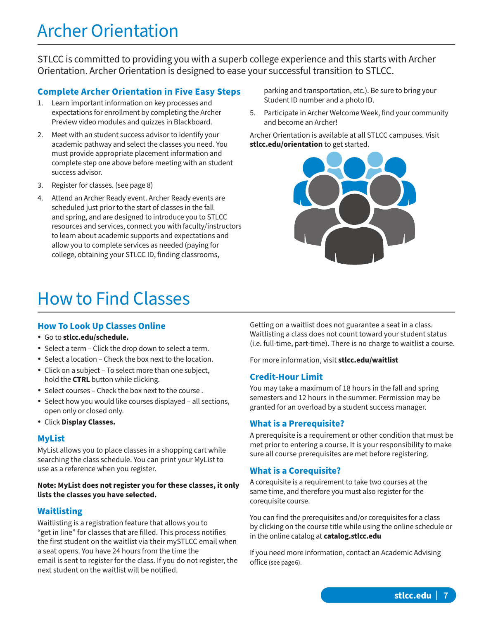# Archer Orientation

STLCC is committed to providing you with a superb college experience and this starts with Archer Orientation. Archer Orientation is designed to ease your successful transition to STLCC.

### **Complete Archer Orientation in Five Easy Steps**

- 1. Learn important information on key processes and expectations for enrollment by completing the Archer Preview video modules and quizzes in Blackboard.
- 2. Meet with an student success advisor to identify your academic pathway and select the classes you need. You must provide appropriate placement information and complete step one above before meeting with an student success advisor.
- 3. Register for classes. (see page 8)
- 4. Attend an Archer Ready event. Archer Ready events are scheduled just prior to the start of classes in the fall and spring, and are designed to introduce you to STLCC resources and services, connect you with faculty/instructors to learn about academic supports and expectations and allow you to complete services as needed (paying for college, obtaining your STLCC ID, finding classrooms,

# How to Find Classes

### **How To Look Up Classes Online**

- Go to **stlcc.edu/schedule.**
- Select a term Click the drop down to select a term.
- Select a location Check the box next to the location.
- Click on a subject To select more than one subject, hold the **CTRL** button while clicking.
- Select courses Check the box next to the course .
- Select how you would like courses displayed all sections, open only or closed only.
- Click **Display Classes.**

### **MyList**

MyList allows you to place classes in a shopping cart while searching the class schedule. You can print your MyList to use as a reference when you register.

### **Note: MyList does not register you for these classes, it only lists the classes you have selected.**

### **Waitlisting**

Waitlisting is a registration feature that allows you to "get in line" for classes that are filled. This process notifies the first student on the waitlist via their mySTLCC email when a seat opens. You have 24 hours from the time the email is sent to register for the class. If you do not register, the next student on the waitlist will be notified.

parking and transportation, etc.). Be sure to bring your Student ID number and a photo ID.

5. Participate in Archer Welcome Week, find your community and become an Archer!

Archer Orientation is available at all STLCC campuses. Visit **stlcc.edu/orientation** to get started.



Getting on a waitlist does not guarantee a seat in a class. Waitlisting a class does not count toward your student status (i.e. full-time, part-time). There is no charge to waitlist a course.

For more information, visit **stlcc.edu/waitlist**

### **Credit-Hour Limit**

You may take a maximum of 18 hours in the fall and spring semesters and 12 hours in the summer. Permission may be granted for an overload by a student success manager.

### **What is a Prerequisite?**

A prerequisite is a requirement or other condition that must be met prior to entering a course. It is your responsibility to make sure all course prerequisites are met before registering.

### **What is a Corequisite?**

A corequisite is a requirement to take two courses at the same time, and therefore you must also register for the corequisite course.

You can find the prerequisites and/or corequisites for a class by clicking on the course title while using the online schedule or in the online catalog at **catalog.stlcc.edu**

If you need more information, contact an Academic Advising office (see page 6).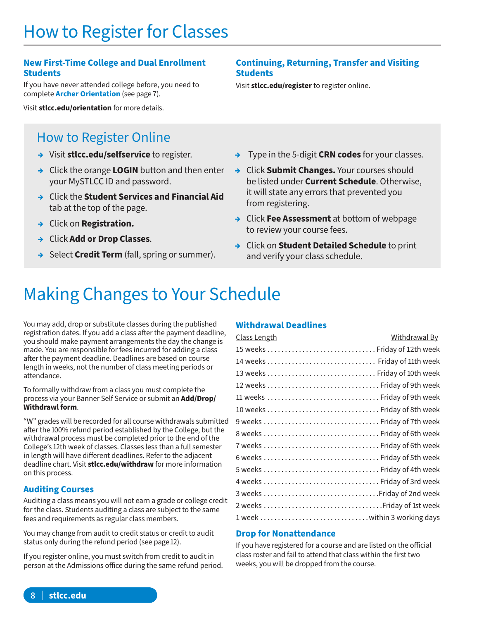# How to Register for Classes

### **New First-Time College and Dual Enrollment Students**

If you have never attended college before, you need to complete **Archer Orientation** (see page 7).

Visit **stlcc.edu/orientation** for more details.

### How to Register Online

- **→** Visit **stlcc.edu/selfservice** to register.
- **→** Click the orange **LOGIN** button and then enter your MySTLCC ID and password.
- **→** Click the **Student Services and Financial Aid** tab at the top of the page.
- **→** Click on **Registration.**
- **→** Click **Add or Drop Classes**.
- **→** Select **Credit Term** (fall, spring or summer).

### **Continuing, Returning, Transfer and Visiting Students**

Visit **stlcc.edu/register** to register online.

- **→** Type in the 5-digit **CRN codes** for your classes.
- **→** Click **Submit Changes.** Your courses should be listed under **Current Schedule**. Otherwise, it will state any errors that prevented you from registering.
- **→** Click **Fee Assessment** at bottom of webpage to review your course fees.
- **→** Click on **Student Detailed Schedule** to print and verify your class schedule.

# Making Changes to Your Schedule

You may add, drop or substitute classes during the published registration dates. If you add a class after the payment deadline, you should make payment arrangements the day the change is made. You are responsible for fees incurred for adding a class after the payment deadline. Deadlines are based on course length in weeks, not the number of class meeting periods or attendance.

To formally withdraw from a class you must complete the process via your Banner Self Service or submit an **Add/Drop/ Withdrawl form**.

"W" grades will be recorded for all course withdrawals submitted after the 100% refund period established by the College, but the withdrawal process must be completed prior to the end of the College's 12th week of classes. Classes less than a full semester in length will have different deadlines. Refer to the adjacent deadline chart. Visit **stlcc.edu/withdraw** for more information on this process.

### **Auditing Courses**

Auditing a class means you will not earn a grade or college credit for the class. Students auditing a class are subject to the same fees and requirements as regular class members.

You may change from audit to credit status or credit to audit status only during the refund period (see page 12).

If you register online, you must switch from credit to audit in person at the Admissions office during the same refund period.

### **Withdrawal Deadlines**

| <u>Class Length</u>           | <u>Withdrawal By</u> |
|-------------------------------|----------------------|
|                               |                      |
|                               |                      |
| 13 weeks  Friday of 10th week |                      |
| 12 weeks  Friday of 9th week  |                      |
| 11 weeks  Friday of 9th week  |                      |
|                               |                      |
| 9 weeks  Friday of 7th week   |                      |
| 8 weeks  Friday of 6th week   |                      |
| 7 weeks  Friday of 6th week   |                      |
|                               |                      |
| 5 weeks  Friday of 4th week   |                      |
|                               |                      |
|                               |                      |
|                               |                      |
|                               |                      |

### **Drop for Nonattendance**

If you have registered for a course and are listed on the official class roster and fail to attend that class within the first two weeks, you will be dropped from the course.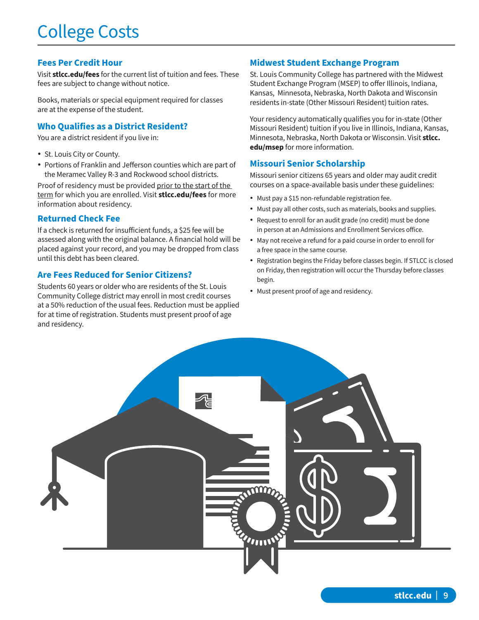# College Costs

### **Fees Per Credit Hour**

Visit **stlcc.edu/fees** for the current list of tuition and fees. These fees are subject to change without notice.

Books, materials or special equipment required for classes are at the expense of the student.

### **Who Qualifies as a District Resident?**

You are a district resident if you live in:

- St. Louis City or County.
- Portions of Franklin and Jefferson counties which are part of the Meramec Valley R-3 and Rockwood school districts.

Proof of residency must be provided prior to the start of the term for which you are enrolled. Visit **stlcc.edu/fees** for more information about residency.

### **Returned Check Fee**

If a check is returned for insufficient funds, a \$25 fee will be assessed along with the original balance. A financial hold will be placed against your record, and you may be dropped from class until this debt has been cleared.

### **Are Fees Reduced for Senior Citizens?**

Students 60 years or older who are residents of the St. Louis Community College district may enroll in most credit courses at a 50% reduction of the usual fees. Reduction must be applied for at time of registration. Students must present proof of age and residency.

### **Midwest Student Exchange Program**

St. Louis Community College has partnered with the Midwest Student Exchange Program (MSEP) to offer Illinois, Indiana, Kansas, Minnesota, Nebraska, North Dakota and Wisconsin residents in-state (Other Missouri Resident) tuition rates.

Your residency automatically qualifies you for in-state (Other Missouri Resident) tuition if you live in Illinois, Indiana, Kansas, Minnesota, Nebraska, North Dakota or Wisconsin. Visit **stlcc. edu/msep** for more information.

### **Missouri Senior Scholarship**

Missouri senior citizens 65 years and older may audit credit courses on a space-available basis under these guidelines:

- Must pay a \$15 non-refundable registration fee.
- Must pay all other costs, such as materials, books and supplies.
- Request to enroll for an audit grade (no credit) must be done in person at an Admissions and Enrollment Services office.
- May not receive a refund for a paid course in order to enroll for a free space in the same course.
- Registration begins the Friday before classes begin. If STLCC is closed on Friday, then registration will occur the Thursday before classes begin.
- Must present proof of age and residency.

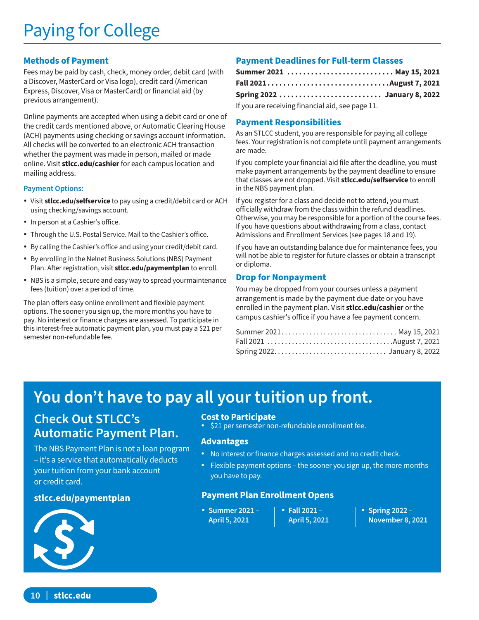# Paying for College

### **Methods of Payment**

Fees may be paid by cash, check, money order, debit card (with a Discover, MasterCard or Visa logo), credit card (American Express, Discover, Visa or MasterCard) or financial aid (by previous arrangement).

Online payments are accepted when using a debit card or one of the credit cards mentioned above, or Automatic Clearing House (ACH) payments using checking or savings account information. All checks will be converted to an electronic ACH transaction whether the payment was made in person, mailed or made online. Visit **stlcc.edu/cashier** for each campus location and mailing address.

### **Payment Options:**

- Visit **stlcc.edu/selfservice** to pay using a credit/debit card or ACH using checking/savings account.
- In person at a Cashier's office.
- Through the U.S. Postal Service. Mail to the Cashier's office.
- By calling the Cashier's office and using your credit/debit card.
- By enrolling in the Nelnet Business Solutions (NBS) Payment Plan. After registration, visit **stlcc.edu/paymentplan** to enroll.
- NBS is a simple, secure and easy way to spread yourmaintenance fees (tuition) over a period of time.

The plan offers easy online enrollment and flexible payment options. The sooner you sign up, the more months you have to pay. No interest or finance charges are assessed. To participate in this interest-free automatic payment plan, you must pay a \$21 per semester non-refundable fee.

### **Payment Deadlines for Full-term Classes**

|  |  | Summer 2021  May 15, 2021    |
|--|--|------------------------------|
|  |  |                              |
|  |  | Spring 2022  January 8, 2022 |

If you are receiving financial aid, see page 11.

### **Payment Responsibilities**

As an STLCC student, you are responsible for paying all college fees. Your registration is not complete until payment arrangements are made.

If you complete your financial aid file after the deadline, you must make payment arrangements by the payment deadline to ensure that classes are not dropped. Visit **stlcc.edu/selfservice** to enroll in the NBS payment plan.

If you register for a class and decide not to attend, you must officially withdraw from the class within the refund deadlines. Otherwise, you may be responsible for a portion of the course fees. If you have questions about withdrawing from a class, contact Admissions and Enrollment Services (see pages 18 and 19).

If you have an outstanding balance due for maintenance fees, you will not be able to register for future classes or obtain a transcript or diploma.

### **Drop for Nonpayment**

You may be dropped from your courses unless a payment arrangement is made by the payment due date or you have enrolled in the payment plan. Visit **stlcc.edu/cashier** or the campus cashier's office if you have a fee payment concern.

## **You don't have to pay all your tuition up front.**

### **Check Out STLCC's Automatic Payment Plan.**

The NBS Payment Plan is not a loan program – it's a service that automatically deducts your tuition from your bank account or credit card.

### **stlcc.edu/paymentplan**



### **Cost to Participate**

• \$21 per semester non-refundable enrollment fee.

### **Advantages**

- No interest or finance charges assessed and no credit check.
- Flexible payment options the sooner you sign up, the more months you have to pay.

### **Payment Plan Enrollment Opens**

- **Summer 2021 April 5, 2021**
- **Fall 2021 April 5, 2021**
- **Spring 2022 November 8, 2021**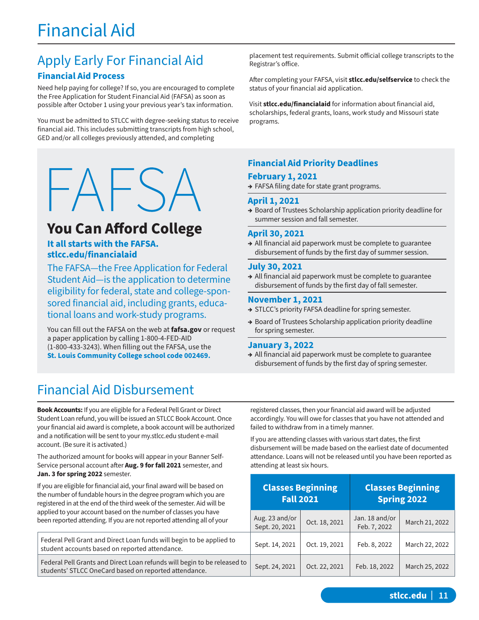# Financial Aid

# Apply Early For Financial Aid

### **Financial Aid Process**

Need help paying for college? If so, you are encouraged to complete the Free Application for Student Financial Aid (FAFSA) as soon as possible after October 1 using your previous year's tax information.

You must be admitted to STLCC with degree-seeking status to receive financial aid. This includes submitting transcripts from high school, GED and/or all colleges previously attended, and completing

# $HAYS$

### **You Can Afford College**

### **It all starts with the FAFSA. stlcc.edu/financialaid**

The FAFSA—the Free Application for Federal Student Aid—is the application to determine eligibility for federal, state and college-sponsored financial aid, including grants, educational loans and work-study programs.

You can fill out the FAFSA on the web at **fafsa.gov** or request a paper application by calling 1-800-4-FED-AID (1-800-433-3243). When filling out the FAFSA, use the **St. Louis Community College school code 002469.**

### Financial Aid Disbursement

**Book Accounts:** If you are eligible for a Federal Pell Grant or Direct Student Loan refund, you will be issued an STLCC Book Account. Once your financial aid award is complete, a book account will be authorized and a notification will be sent to your my.stlcc.edu student e-mail account. (Be sure it is activated.)

The authorized amount for books will appear in your Banner Self-Service personal account after **Aug. 9 for fall 2021** semester, and **Jan. 3 for spring 2022** semester.

If you are eligible for financial aid, your final award will be based on the number of fundable hours in the degree program which you are registered in at the end of the third week of the semester. Aid will be applied to your account based on the number of classes you have been reported attending. If you are not reported attending all of your

Federal Pell Grant and Direct Loan funds will begin to be applied student accounts based on reported attendance. Federal Pell Grants and Direct Loan refunds will begin to be relea students' STLCC OneCard based on reported attendance.

placement test requirements. Submit official college transcripts to the Registrar's office.

After completing your FAFSA, visit **stlcc.edu/selfservice** to check the status of your financial aid application.

Visit **stlcc.edu/financialaid** for information about financial aid, scholarships, federal grants, loans, work study and Missouri state programs.

### **Financial Aid Priority Deadlines**

### **February 1, 2021**

**→** FAFSA filing date for state grant programs.

### **April 1, 2021**

**→** Board of Trustees Scholarship application priority deadline for summer session and fall semester.

### **April 30, 2021**

**→** All financial aid paperwork must be complete to guarantee disbursement of funds by the first day of summer session.

### **July 30, 2021**

**→** All financial aid paperwork must be complete to guarantee disbursement of funds by the first day of fall semester.

### **November 1, 2021**

- **→** STLCC's priority FAFSA deadline for spring semester.
- **→** Board of Trustees Scholarship application priority deadline for spring semester.

### **January 3, 2022**

**→** All financial aid paperwork must be complete to guarantee disbursement of funds by the first day of spring semester.

registered classes, then your financial aid award will be adjusted accordingly. You will owe for classes that you have not attended and failed to withdraw from in a timely manner.

If you are attending classes with various start dates, the first disbursement will be made based on the earliest date of documented attendance. Loans will not be released until you have been reported as attending at least six hours.

|         | <b>Fall 2021</b>                 | <b>Classes Beginning</b> | <b>Classes Beginning</b><br><b>Spring 2022</b> |                |  |
|---------|----------------------------------|--------------------------|------------------------------------------------|----------------|--|
| r       | Aug. 23 and/or<br>Sept. 20, 2021 | Oct. 18, 2021            | Jan. 18 and/or<br>Feb. 7, 2022                 | March 21, 2022 |  |
| d to    | Sept. 14, 2021                   | Oct. 19, 2021            | Feb. 8, 2022                                   | March 22, 2022 |  |
| ased to | Sept. 24, 2021                   | Oct. 22, 2021            | Feb. 18, 2022                                  | March 25, 2022 |  |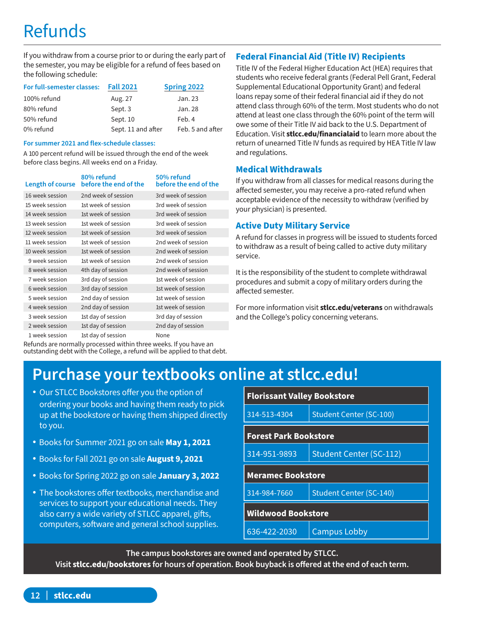# Refunds

If you withdraw from a course prior to or during the early part of the semester, you may be eligible for a refund of fees based on the following schedule:

| For full-semester classes: | <b>Fall 2021</b>   | Spring 2022      |
|----------------------------|--------------------|------------------|
| 100% refund                | Aug. 27            | Jan. 23          |
| 80% refund                 | Sept. 3            | Jan. 28          |
| 50% refund                 | Sept. 10           | Feb. 4           |
| 0% refund                  | Sept. 11 and after | Feb. 5 and after |

#### **For summer 2021 and flex-schedule classes:**

A 100 percent refund will be issued through the end of the week before class begins. All weeks end on a Friday.

| Length of course | 80% refund<br>before the end of the | 50% refund<br>before the end of the |
|------------------|-------------------------------------|-------------------------------------|
| 16 week session  | 2nd week of session                 | 3rd week of session                 |
| 15 week session  | 1st week of session                 | 3rd week of session                 |
| 14 week session  | 1st week of session                 | 3rd week of session                 |
| 13 week session  | 1st week of session                 | 3rd week of session                 |
| 12 week session  | 1st week of session                 | 3rd week of session                 |
| 11 week session  | 1st week of session                 | 2nd week of session                 |
| 10 week session  | 1st week of session                 | 2nd week of session                 |
| 9 week session   | 1st week of session                 | 2nd week of session                 |
| 8 week session   | 4th day of session                  | 2nd week of session                 |
| 7 week session   | 3rd day of session                  | 1st week of session                 |
| 6 week session   | 3rd day of session                  | 1st week of session                 |
| 5 week session   | 2nd day of session                  | 1st week of session                 |
| 4 week session   | 2nd day of session                  | 1st week of session                 |
| 3 week session   | 1st day of session                  | 3rd day of session                  |
| 2 week session   | 1st day of session                  | 2nd day of session                  |
| 1 week session   | 1st day of session                  | None                                |

Refunds are normally processed within three weeks. If you have an outstanding debt with the College, a refund will be applied to that debt.

### **Federal Financial Aid (Title IV) Recipients**

Title IV of the Federal Higher Education Act (HEA) requires that students who receive federal grants (Federal Pell Grant, Federal Supplemental Educational Opportunity Grant) and federal loans repay some of their federal financial aid if they do not attend class through 60% of the term. Most students who do not attend at least one class through the 60% point of the term will owe some of their Title IV aid back to the U.S. Department of Education. Visit **stlcc.edu/financialaid** to learn more about the return of unearned Title IV funds as required by HEA Title IV law and regulations.

### **Medical Withdrawals**

If you withdraw from all classes for medical reasons during the affected semester, you may receive a pro-rated refund when acceptable evidence of the necessity to withdraw (verified by your physician) is presented.

### **Active Duty Military Service**

A refund for classes in progress will be issued to students forced to withdraw as a result of being called to active duty military service.

It is the responsibility of the student to complete withdrawal procedures and submit a copy of military orders during the affected semester.

For more information visit **stlcc.edu/veterans** on withdrawals and the College's policy concerning veterans.

# **Purchase your textbooks online at stlcc.edu!**

- Our STLCC Bookstores offer you the option of ordering your books and having them ready to pick up at the bookstore or having them shipped directly to you.
- Books for Summer 2021 go on sale **May 1, 2021**
- Books for Fall 2021 go on sale **August 9, 2021**
- Books for Spring 2022 go on sale **January 3, 2022**
- The bookstores offer textbooks, merchandise and services to support your educational needs. They also carry a wide variety of STLCC apparel, gifts, computers, software and general school supplies.

| <b>Florissant Valley Bookstore</b> |                                |  |  |  |
|------------------------------------|--------------------------------|--|--|--|
| 314-513-4304                       | Student Center (SC-100)        |  |  |  |
| <b>Forest Park Bookstore</b>       |                                |  |  |  |
| 314-951-9893                       | <b>Student Center (SC-112)</b> |  |  |  |
|                                    | <b>Meramec Bookstore</b>       |  |  |  |
|                                    |                                |  |  |  |
| 314-984-7660                       | <b>Student Center (SC-140)</b> |  |  |  |
| <b>Wildwood Bookstore</b>          |                                |  |  |  |

**The campus bookstores are owned and operated by STLCC.** 

**Visit stlcc.edu/bookstores for hours of operation. Book buyback is offered at the end of each term.**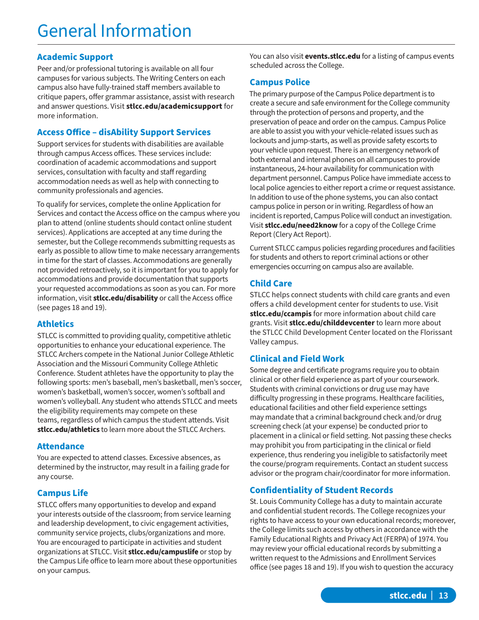### **Academic Support**

Peer and/or professional tutoring is available on all four campuses for various subjects. The Writing Centers on each campus also have fully-trained staff members available to critique papers, offer grammar assistance, assist with research and answer questions. Visit **stlcc.edu/academicsupport** for more information.

### **Access Office – disAbility Support Services**

Support services for students with disabilities are available through campus Access offices. These services include: coordination of academic accommodations and support services, consultation with faculty and staff regarding accommodation needs as well as help with connecting to community professionals and agencies.

To qualify for services, complete the online Application for Services and contact the Access office on the campus where you plan to attend (online students should contact online student services). Applications are accepted at any time during the semester, but the College recommends submitting requests as early as possible to allow time to make necessary arrangements in time for the start of classes. Accommodations are generally not provided retroactively, so it is important for you to apply for accommodations and provide documentation that supports your requested accommodations as soon as you can. For more information, visit **stlcc.edu/disability** or call the Access office (see pages 18 and 19).

### **Athletics**

STLCC is committed to providing quality, competitive athletic opportunities to enhance your educational experience. The STLCC Archers compete in the National Junior College Athletic Association and the Missouri Community College Athletic Conference. Student athletes have the opportunity to play the following sports: men's baseball, men's basketball, men's soccer, women's basketball, women's soccer, women's softball and women's volleyball. Any student who attends STLCC and meets the eligibility requirements may compete on these teams, regardless of which campus the student attends. Visit **stlcc.edu/athletics** to learn more about the STLCC Archers.

### **Attendance**

You are expected to attend classes. Excessive absences, as determined by the instructor, may result in a failing grade for any course.

### **Campus Life**

STLCC offers many opportunities to develop and expand your interests outside of the classroom; from service learning and leadership development, to civic engagement activities, community service projects, clubs/organizations and more. You are encouraged to participate in activities and student organizations at STLCC. Visit **stlcc.edu/campuslife** or stop by the Campus Life office to learn more about these opportunities on your campus.

You can also visit **events.stlcc.edu** for a listing of campus events scheduled across the College.

### **Campus Police**

The primary purpose of the Campus Police department is to create a secure and safe environment for the College community through the protection of persons and property, and the preservation of peace and order on the campus. Campus Police are able to assist you with your vehicle-related issues such as lockouts and jump-starts, as well as provide safety escorts to your vehicle upon request. There is an emergency network of both external and internal phones on all campuses to provide instantaneous, 24-hour availability for communication with department personnel. Campus Police have immediate access to local police agencies to either report a crime or request assistance. In addition to use of the phone systems, you can also contact campus police in person or in writing. Regardless of how an incident is reported, Campus Police will conduct an investigation. Visit **stlcc.edu/need2know** for a copy of the College Crime Report (Clery Act Report).

Current STLCC campus policies regarding procedures and facilities for students and others to report criminal actions or other emergencies occurring on campus also are available.

### **Child Care**

STLCC helps connect students with child care grants and even offers a child development center for students to use. Visit **stlcc.edu/ccampis** for more information about child care grants. Visit **stlcc.edu/childdevcenter** to learn more about the STLCC Child Development Center located on the Florissant Valley campus.

### **Clinical and Field Work**

Some degree and certificate programs require you to obtain clinical or other field experience as part of your coursework. Students with criminal convictions or drug use may have difficulty progressing in these programs. Healthcare facilities, educational facilities and other field experience settings may mandate that a criminal background check and/or drug screening check (at your expense) be conducted prior to placement in a clinical or field setting. Not passing these checks may prohibit you from participating in the clinical or field experience, thus rendering you ineligible to satisfactorily meet the course/program requirements. Contact an student success advisor or the program chair/coordinator for more information.

### **Confidentiality of Student Records**

St. Louis Community College has a duty to maintain accurate and confidential student records. The College recognizes your rights to have access to your own educational records; moreover, the College limits such access by others in accordance with the Family Educational Rights and Privacy Act (FERPA) of 1974. You may review your official educational records by submitting a written request to the Admissions and Enrollment Services office (see pages 18 and 19). If you wish to question the accuracy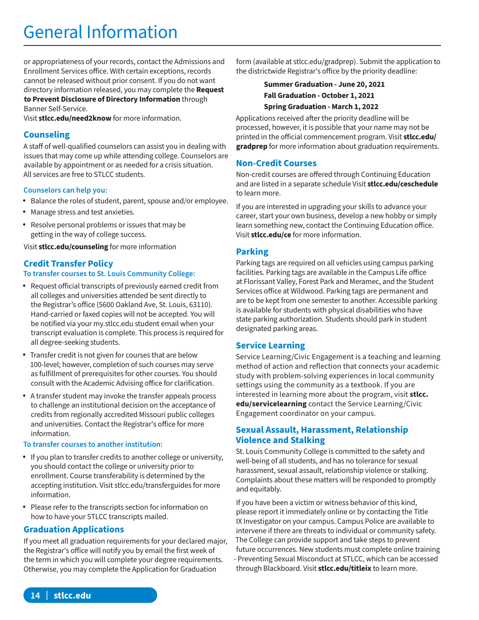# General Information

or appropriateness of your records, contact the Admissions and Enrollment Services office. With certain exceptions, records cannot be released without prior consent. If you do not want directory information released, you may complete the **Request to Prevent Disclosure of Directory Information** through

Banner Self-Service.

Visit **stlcc.edu/need2know** for more information.

### **Counseling**

A staff of well-qualified counselors can assist you in dealing with issues that may come up while attending college. Counselors are available by appointment or as needed for a crisis situation. All services are free to STLCC students.

### **Counselors can help you:**

- Balance the roles of student, parent, spouse and/or employee.
- Manage stress and test anxieties.
- Resolve personal problems or issues that may be getting in the way of college success.

Visit **stlcc.edu/counseling** for more information

### **Credit Transfer Policy**

### **To transfer courses to St. Louis Community College:**

- Request official transcripts of previously earned credit from all colleges and universities attended be sent directly to the Registrar's office (5600 Oakland Ave, St. Louis, 63110). Hand-carried or faxed copies will not be accepted. You will be notified via your my.stlcc.edu student email when your transcript evaluation is complete. This process is required for all degree-seeking students.
- Transfer credit is not given for courses that are below 100-level; however, completion of such courses may serve as fulfillment of prerequisites for other courses. You should consult with the Academic Advising office for clarification.
- A transfer student may invoke the transfer appeals process to challenge an institutional decision on the acceptance of credits from regionally accredited Missouri public colleges and universities. Contact the Registrar's office for more information.

### **To transfer courses to another institution:**

- If you plan to transfer credits to another college or university, you should contact the college or university prior to enrollment. Course transferability is determined by the accepting institution. Visit stlcc.edu/transferguides for more information.
- Please refer to the transcripts section for information on how to have your STLCC transcripts mailed.

### **Graduation Applications**

If you meet all graduation requirements for your declared major, the Registrar's office will notify you by email the first week of the term in which you will complete your degree requirements. Otherwise, you may complete the Application for Graduation

form (available at stlcc.edu/gradprep). Submit the application to the districtwide Registrar's office by the priority deadline:

### **Summer Graduation - June 20, 2021 Fall Graduation - October 1, 2021 Spring Graduation - March 1, 2022**

Applications received after the priority deadline will be processed, however, it is possible that your name may not be printed in the official commencement program. Visit **stlcc.edu/ gradprep** for more information about graduation requirements.

### **Non-Credit Courses**

Non-credit courses are offered through Continuing Education and are listed in a separate schedule Visit **stlcc.edu/ceschedule** to learn more.

If you are interested in upgrading your skills to advance your career, start your own business, develop a new hobby or simply learn something new, contact the Continuing Education office. Visit **stlcc.edu/ce** for more information.

### **Parking**

Parking tags are required on all vehicles using campus parking facilities. Parking tags are available in the Campus Life office at Florissant Valley, Forest Park and Meramec, and the Student Services office at Wildwood. Parking tags are permanent and are to be kept from one semester to another. Accessible parking is available for students with physical disabilities who have state parking authorization. Students should park in student designated parking areas.

### **Service Learning**

Service Learning/Civic Engagement is a teaching and learning method of action and reflection that connects your academic study with problem-solving experiences in local community settings using the community as a textbook. If you are interested in learning more about the program, visit **stlcc. edu/servicelearning** contact the Service Learning/Civic Engagement coordinator on your campus.

### **Sexual Assault, Harassment, Relationship Violence and Stalking**

St. Louis Community College is committed to the safety and well-being of all students, and has no tolerance for sexual harassment, sexual assault, relationship violence or stalking. Complaints about these matters will be responded to promptly and equitably.

If you have been a victim or witness behavior of this kind, please report it immediately online or by contacting the Title IX Investigator on your campus. Campus Police are available to intervene if there are threats to individual or community safety. The College can provide support and take steps to prevent future occurrences. New students must complete online training - Preventing Sexual Misconduct at STLCC, which can be accessed through Blackboard. Visit **stlcc.edu/titleix** to learn more.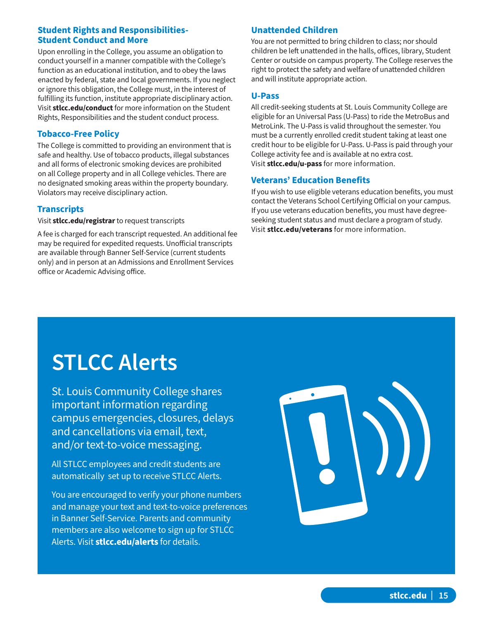### **Student Rights and Responsibilities-Student Conduct and More**

Upon enrolling in the College, you assume an obligation to conduct yourself in a manner compatible with the College's function as an educational institution, and to obey the laws enacted by federal, state and local governments. If you neglect or ignore this obligation, the College must, in the interest of fulfilling its function, institute appropriate disciplinary action. Visit **stlcc.edu/conduct** for more information on the Student Rights, Responsibilities and the student conduct process.

### **Tobacco-Free Policy**

The College is committed to providing an environment that is safe and healthy. Use of tobacco products, illegal substances and all forms of electronic smoking devices are prohibited on all College property and in all College vehicles. There are no designated smoking areas within the property boundary. Violators may receive disciplinary action.

### **Transcripts**

Visit **stlcc.edu/registrar** to request transcripts

A fee is charged for each transcript requested. An additional fee may be required for expedited requests. Unofficial transcripts are available through Banner Self-Service (current students only) and in person at an Admissions and Enrollment Services office or Academic Advising office.

### **Unattended Children**

You are not permitted to bring children to class; nor should children be left unattended in the halls, offices, library, Student Center or outside on campus property. The College reserves the right to protect the safety and welfare of unattended children and will institute appropriate action.

### **U-Pass**

All credit-seeking students at St. Louis Community College are eligible for an Universal Pass (U-Pass) to ride the MetroBus and MetroLink. The U-Pass is valid throughout the semester. You must be a currently enrolled credit student taking at least one credit hour to be eligible for U-Pass. U-Pass is paid through your College activity fee and is available at no extra cost. Visit **stlcc.edu/u-pass** for more information.

### **Veterans' Education Benefits**

If you wish to use eligible veterans education benefits, you must contact the Veterans School Certifying Official on your campus. If you use veterans education benefits, you must have degreeseeking student status and must declare a program of study. Visit **stlcc.edu/veterans** for more information.

# **STLCC Alerts**

St. Louis Community College shares important information regarding campus emergencies, closures, delays and cancellations via email, text, and/or text-to-voice messaging.

All STLCC employees and credit students are automatically set up to receive STLCC Alerts.

You are encouraged to verify your phone numbers and manage your text and text-to-voice preferences in Banner Self-Service. Parents and community members are also welcome to sign up for STLCC Alerts. Visit **stlcc.edu/alerts** for details.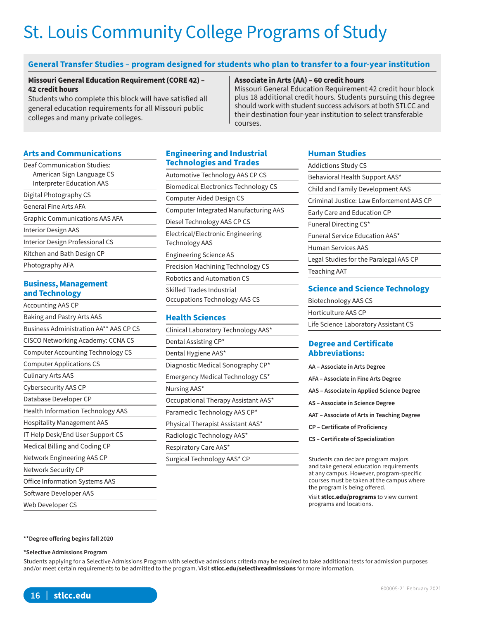# St. Louis Community College Programs of Study

### **General Transfer Studies – program designed for students who plan to transfer to a four-year institution**

#### **Missouri General Education Requirement (CORE 42) – 42 credit hours**

Students who complete this block will have satisfied all general education requirements for all Missouri public colleges and many private colleges.

#### **Associate in Arts (AA) – 60 credit hours**

Missouri General Education Requirement 42 credit hour block plus 18 additional credit hours. Students pursuing this degree should work with student success advisors at both STLCC and their destination four-year institution to select transferable courses.

#### **Arts and Communications**

| <b>Deaf Communication Studies:</b>    |
|---------------------------------------|
| American Sign Language CS             |
| <b>Interpreter Education AAS</b>      |
| Digital Photography CS                |
| General Fine Arts AFA                 |
| <b>Graphic Communications AAS AFA</b> |
| Interior Design AAS                   |
| Interior Design Professional CS       |
| Kitchen and Bath Design CP            |
| Photography AFA                       |

### **Business, Management and Technology**

| <b>Accounting AAS CP</b>                 |
|------------------------------------------|
| Baking and Pastry Arts AAS               |
| Business Administration AA** AAS CP CS   |
| CISCO Networking Academy: CCNA CS        |
| <b>Computer Accounting Technology CS</b> |
| <b>Computer Applications CS</b>          |
| <b>Culinary Arts AAS</b>                 |
| <b>Cybersecurity AAS CP</b>              |
| Database Developer CP                    |
| <b>Health Information Technology AAS</b> |
| <b>Hospitality Management AAS</b>        |
| IT Help Desk/End User Support CS         |
| Medical Billing and Coding CP            |
| Network Engineering AAS CP               |
| Network Security CP                      |
| <b>Office Information Systems AAS</b>    |
| Software Developer AAS                   |
| Web Developer CS                         |

### **Engineering and Industrial Technologies and Trades**

| Automotive Technology AAS CP CS              |
|----------------------------------------------|
| <b>Biomedical Electronics Technology CS</b>  |
| Computer Aided Design CS                     |
| <b>Computer Integrated Manufacturing AAS</b> |
| Diesel Technology AAS CP CS                  |
| Electrical/Electronic Engineering            |
| <b>Technology AAS</b>                        |
| <b>Engineering Science AS</b>                |
| <b>Precision Machining Technology CS</b>     |
| Robotics and Automation CS                   |
| Skilled Trades Industrial                    |
| Occupations Technology AAS CS                |

### **Health Sciences**

Clinical Laboratory Technology AAS\* Dental Assisting CP\* Dental Hygiene AAS\* Diagnostic Medical Sonography CP\* Emergency Medical Technology CS\* Nursing AAS\* Occupational Therapy Assistant AAS\* Paramedic Technology AAS CP\* Physical Therapist Assistant AAS\* Radiologic Technology AAS\* Respiratory Care AAS\* Surgical Technology AAS\* CP

### **Human Studies**

| <b>Addictions Study CS</b>               |
|------------------------------------------|
| Behavioral Health Support AAS*           |
| <b>Child and Family Development AAS</b>  |
| Criminal Justice: Law Enforcement AAS CP |
| Early Care and Education CP              |
| Funeral Directing CS*                    |
| Funeral Service Education AAS*           |
| <b>Human Services AAS</b>                |
| Legal Studies for the Paralegal AAS CP   |
| <b>Teaching AAT</b>                      |
|                                          |

### **Science and Science Technology**

Biotechnology AAS CS Horticulture AAS CP

### Life Science Laboratory Assistant CS

#### **Degree and Certificate Abbreviations:**

| AA – Associate in Arts Degree |  |
|-------------------------------|--|
|                               |  |

- **AFA Associate in Fine Arts Degree**
- **AAS Associate in Applied Science Degree**
- **AS Associate in Science Degree**
- **AAT Associate of Arts in Teaching Degree**
- **CP Certificate of Proficiency**
- **CS Certificate of Specialization**

Students can declare program majors and take general education requirements at any campus. However, program-specific courses must be taken at the campus where the program is being offered.

Visit **stlcc.edu/programs** to view current programs and locations.

#### **\*\*Degree offering begins fall 2020**

#### **\*Selective Admissions Program**

Students applying for a Selective Admissions Program with selective admissions criteria may be required to take additional tests for admission purposes and/or meet certain requirements to be admitted to the program. Visit **stlcc.edu/selectiveadmissions** for more information.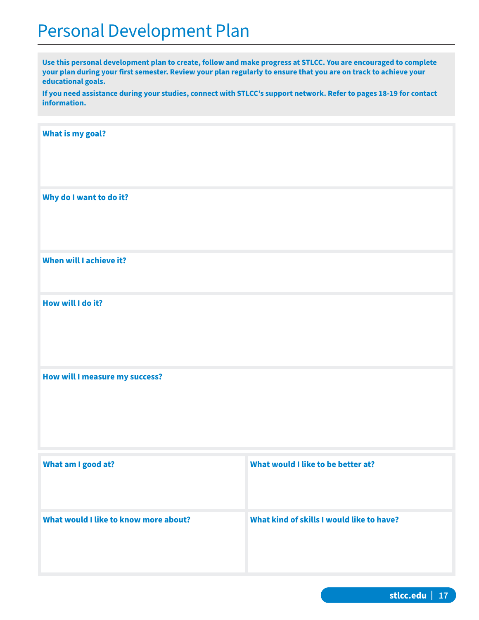## Personal Development Plan

**Use this personal development plan to create, follow and make progress at STLCC. You are encouraged to complete your plan during your first semester. Review your plan regularly to ensure that you are on track to achieve your educational goals.**

**If you need assistance during your studies, connect with STLCC's support network. Refer to pages 18-19 for contact information.**

**What is my goal?**

**Why do I want to do it?**

**When will I achieve it?**

**How will I do it?**

**How will I measure my success?**

| What am I good at?                    | What would I like to be better at?        |
|---------------------------------------|-------------------------------------------|
| What would I like to know more about? | What kind of skills I would like to have? |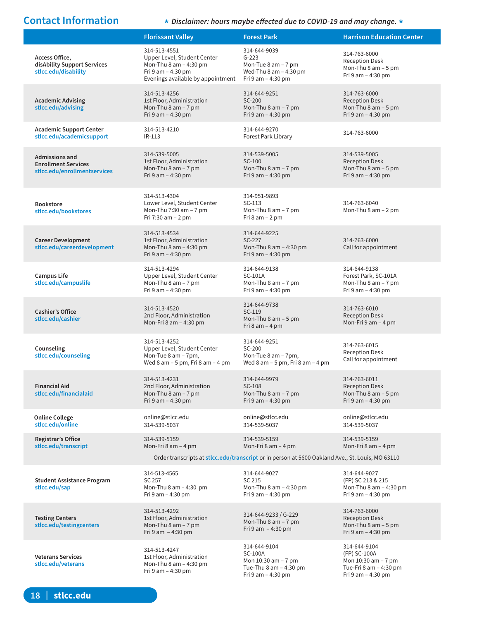**Contact Information \*** *Disclaimer: hours maybe effected due to COVID-19 and may change.* **\***

|                                                                                     | <b>Florissant Valley</b>                                                                                                         | <b>Forest Park</b>                                                                                                                         | <b>Harrison Education Center</b>                                                                                     |
|-------------------------------------------------------------------------------------|----------------------------------------------------------------------------------------------------------------------------------|--------------------------------------------------------------------------------------------------------------------------------------------|----------------------------------------------------------------------------------------------------------------------|
| Access Office,<br>disAbility Support Services<br>stlcc.edu/disability               | 314-513-4551<br>Upper Level, Student Center<br>Mon-Thu 8 am - 4:30 pm<br>Fri 9 am - 4:30 pm<br>Evenings available by appointment | 314-644-9039<br>$G-223$<br>Mon-Tue 8 am - 7 pm<br>Wed-Thu 8 am - 4:30 pm<br>Fri 9 am - 4:30 pm                                             | 314-763-6000<br><b>Reception Desk</b><br>Mon-Thu $8$ am $-5$ pm<br>Fri 9 am - 4:30 pm                                |
| <b>Academic Advising</b><br>stlcc.edu/advising                                      | 314-513-4256<br>1st Floor, Administration<br>Mon-Thu 8 am - 7 pm<br>Fri 9 am - 4:30 pm                                           | 314-644-9251<br>SC-200<br>Mon-Thu $8$ am $-7$ pm<br>Fri 9 am - 4:30 pm                                                                     | 314-763-6000<br><b>Reception Desk</b><br>Mon-Thu 8 am - 5 pm<br>Fri 9 am - 4:30 pm                                   |
| <b>Academic Support Center</b><br>stlcc.edu/academicsupport                         | 314-513-4210<br>$IR-113$                                                                                                         | 314-644-9270<br>Forest Park Library                                                                                                        | 314-763-6000                                                                                                         |
| <b>Admissions and</b><br><b>Enrollment Services</b><br>stlcc.edu/enrollmentservices | 314-539-5005<br>1st Floor, Administration<br>Mon-Thu 8 am - 7 pm<br>Fri 9 am - 4:30 pm                                           | 314-539-5005<br>SC-100<br>Mon-Thu $8$ am $-7$ pm<br>Fri 9 am - 4:30 pm                                                                     | 314-539-5005<br><b>Reception Desk</b><br>Mon-Thu $8$ am $-5$ pm<br>Fri 9 am - 4:30 pm                                |
| <b>Bookstore</b><br>stlcc.edu/bookstores                                            | 314-513-4304<br>Lower Level, Student Center<br>Mon-Thu 7:30 am - 7 pm<br>Fri 7:30 am - 2 pm                                      | 314-951-9893<br>$SC-113$<br>Mon-Thu $8$ am $-7$ pm<br>Fri $8$ am $-2$ pm                                                                   | 314-763-6040<br>Mon-Thu $8$ am $-2$ pm                                                                               |
| <b>Career Development</b><br>stlcc.edu/careerdevelopment                            | 314-513-4534<br>1st Floor, Administration<br>Mon-Thu $8$ am $-$ 4:30 pm<br>Fri $9$ am $-$ 4:30 pm                                | 314-644-9225<br>SC-227<br>Mon-Thu $8$ am $-$ 4:30 pm<br>Fri 9 am - 4:30 pm                                                                 | 314-763-6000<br>Call for appointment                                                                                 |
| <b>Campus Life</b><br>stlcc.edu/campuslife                                          | 314-513-4294<br>Upper Level, Student Center<br>Mon-Thu $8$ am $-7$ pm<br>Fri 9 am - 4:30 pm                                      | 314-644-9138<br>SC-101A<br>Mon-Thu 8 am - 7 pm<br>Fri 9 am - 4:30 pm                                                                       | 314-644-9138<br>Forest Park, SC-101A<br>Mon-Thu $8$ am $-7$ pm<br>Fri 9 am - 4:30 pm                                 |
| <b>Cashier's Office</b><br>stlcc.edu/cashier                                        | 314-513-4520<br>2nd Floor, Administration<br>Mon-Fri 8 am - 4:30 pm                                                              | 314-644-9738<br>SC-119<br>Mon-Thu $8$ am $-5$ pm<br>Fri $8$ am $-4$ pm                                                                     | 314-763-6010<br><b>Reception Desk</b><br>Mon-Fri 9 am - 4 pm                                                         |
| Counseling<br>stlcc.edu/counseling                                                  | 314-513-4252<br>Upper Level, Student Center<br>Mon-Tue 8 am - 7pm,<br>Wed $8$ am $-5$ pm, Fri $8$ am $-4$ pm                     | 314-644-9251<br>SC-200<br>Mon-Tue 8 am - 7pm,<br>Wed 8 am $-5$ pm, Fri 8 am $-4$ pm                                                        | 314-763-6015<br><b>Reception Desk</b><br>Call for appointment                                                        |
| <b>Financial Aid</b><br>stlcc.edu/financialaid                                      | 314-513-4231<br>2nd Floor, Administration<br>Mon-Thu $8$ am $-7$ pm<br>Fri 9 am - 4:30 pm                                        | 314-644-9979<br>SC-108<br>Mon-Thu $8$ am $-7$ pm<br>Fri 9 am - 4:30 pm                                                                     | 314-763-6011<br><b>Reception Desk</b><br>Mon-Thu $8$ am $-5$ pm<br>Fri 9 am - 4:30 pm                                |
| <b>Online College</b><br>stlcc.edu/online                                           | online@stlcc.edu<br>314-539-5037                                                                                                 | online@stlcc.edu<br>314-539-5037                                                                                                           | online@stlcc.edu<br>314-539-5037                                                                                     |
| Registrar's Office<br>stlcc.edu/transcript                                          | 314-539-5159<br>Mon-Fri $8$ am $-$ 4 pm                                                                                          | 314-539-5159<br>Mon-Fri $8$ am $-4$ pm<br>Order transcripts at stlcc.edu/transcript or in person at 5600 Oakland Ave., St. Louis, MO 63110 | 314-539-5159<br>Mon-Fri 8 am – 4 pm                                                                                  |
| <b>Student Assistance Program</b><br>stlcc.edu/sap                                  | 314-513-4565<br>SC 257<br>Mon-Thu $8$ am $-$ 4:30 pm<br>Fri 9 am - 4:30 pm                                                       | 314-644-9027<br>SC 215<br>Mon-Thu $8$ am $-$ 4:30 pm<br>Fri 9 am - 4:30 pm                                                                 | 314-644-9027<br>(FP) SC 213 & 215<br>Mon-Thu $8$ am $-$ 4:30 pm<br>Fri 9 am – 4:30 pm                                |
| <b>Testing Centers</b><br>stlcc.edu/testingcenters                                  | 314-513-4292<br>1st Floor, Administration<br>Mon-Thu $8$ am $-7$ pm<br>Fri 9 am $-4:30$ pm                                       | 314-644-9233 / G-229<br>Mon-Thu $8$ am $-7$ pm<br>Fri 9 am $-4:30$ pm                                                                      | 314-763-6000<br><b>Reception Desk</b><br>Mon-Thu $8$ am $-5$ pm<br>Fri 9 am - 4:30 pm                                |
| <b>Veterans Services</b><br>stlcc.edu/veterans                                      | 314-513-4247<br>1st Floor, Administration<br>Mon-Thu $8$ am $-$ 4:30 pm<br>Fri 9 am - 4:30 pm                                    | 314-644-9104<br><b>SC-100A</b><br>Mon 10:30 am - 7 pm<br>Tue-Thu $8$ am $-$ 4:30 pm<br>$\Gamma r$ i 0 am $\Lambda$ :20 am                  | 314-644-9104<br>(FP) SC-100A<br>Mon 10:30 am - 7 pm<br>Tue-Fri 8 am - 4:30 pm<br>$\Gamma r$ i 0 am $\Lambda$ : 30 am |

Fri 9 am – 4:30 pm

Fri 9 am – 4:30 pm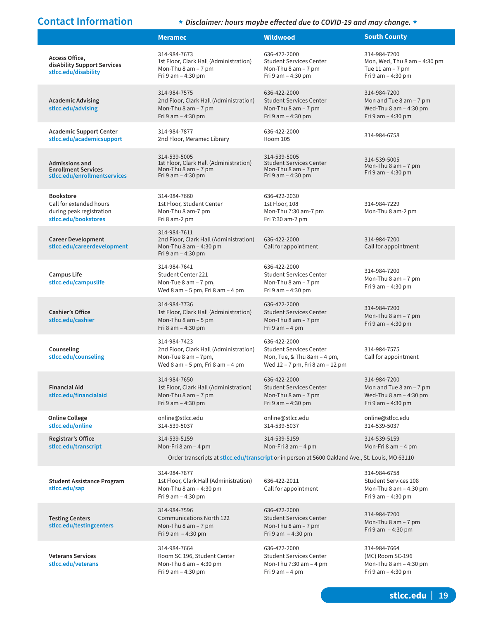### **Contact Information \*** *Disclaimer: hours maybe effected due to COVID-19 and may change.* **\***

|                                                                                                 | <b>Meramec</b>                                                                                                      | <b>Wildwood</b>                                                                                                                         | <b>South County</b>                                                                                |
|-------------------------------------------------------------------------------------------------|---------------------------------------------------------------------------------------------------------------------|-----------------------------------------------------------------------------------------------------------------------------------------|----------------------------------------------------------------------------------------------------|
| Access Office,<br>disAbility Support Services<br>stlcc.edu/disability                           | 314-984-7673<br>1st Floor, Clark Hall (Administration)<br>Mon-Thu $8$ am $-7$ pm<br>Fri 9 am - 4:30 pm              | 636-422-2000<br><b>Student Services Center</b><br>Mon-Thu $8$ am $-7$ pm<br>Fri 9 am - 4:30 pm                                          | 314-984-7200<br>Mon, Wed, Thu $8$ am $-$ 4:30 pm<br>Tue $11$ am $-7$ pm<br>Fri 9 am - 4:30 pm      |
| <b>Academic Advising</b><br>stlcc.edu/advising                                                  | 314-984-7575<br>2nd Floor, Clark Hall (Administration)<br>Mon-Thu $8$ am $-7$ pm<br>Fri 9 am - 4:30 pm              | 636-422-2000<br><b>Student Services Center</b><br>Mon-Thu $8$ am $-7$ pm<br>Fri 9 am - 4:30 pm                                          | 314-984-7200<br>Mon and Tue $8$ am $-7$ pm<br>Wed-Thu $8$ am $-$ 4:30 pm<br>Fri $9$ am $-$ 4:30 pm |
| <b>Academic Support Center</b><br>stlcc.edu/academicsupport                                     | 314-984-7877<br>2nd Floor, Meramec Library                                                                          | 636-422-2000<br>Room 105                                                                                                                | 314-984-6758                                                                                       |
| <b>Admissions and</b><br><b>Enrollment Services</b><br>stlcc.edu/enrollmentservices             | 314-539-5005<br>1st Floor, Clark Hall (Administration)<br>Mon-Thu $8$ am $-7$ pm<br>Fri 9 am $-$ 4:30 pm            | 314-539-5005<br><b>Student Services Center</b><br>Mon-Thu $8$ am $-7$ pm<br>Fri 9 am $-$ 4:30 pm                                        | 314-539-5005<br>Mon-Thu $8$ am $-7$ pm<br>Fri $9$ am $-$ 4:30 pm                                   |
| <b>Bookstore</b><br>Call for extended hours<br>during peak registration<br>stlcc.edu/bookstores | 314-984-7660<br>1st Floor, Student Center<br>Mon-Thu 8 am-7 pm<br>Fri 8 am-2 pm                                     | 636-422-2030<br>1st Floor, 108<br>Mon-Thu 7:30 am-7 pm<br>Fri 7:30 am-2 pm                                                              | 314-984-7229<br>Mon-Thu 8 am-2 pm                                                                  |
| <b>Career Development</b><br>stlcc.edu/careerdevelopment                                        | 314-984-7611<br>2nd Floor, Clark Hall (Administration)<br>Mon-Thu 8 am - 4:30 pm<br>Fri 9 am - 4:30 pm              | 636-422-2000<br>Call for appointment                                                                                                    | 314-984-7200<br>Call for appointment                                                               |
| <b>Campus Life</b><br>stlcc.edu/campuslife                                                      | 314-984-7641<br>Student Center 221<br>Mon-Tue $8$ am $-7$ pm,<br>Wed 8 am $-5$ pm, Fri 8 am $-4$ pm                 | 636-422-2000<br><b>Student Services Center</b><br>Mon-Thu $8$ am $-7$ pm<br>Fri 9 am - 4:30 pm                                          | 314-984-7200<br>Mon-Thu $8$ am $-7$ pm<br>Fri 9 am - 4:30 pm                                       |
| <b>Cashier's Office</b><br>stlcc.edu/cashier                                                    | 314-984-7736<br>1st Floor, Clark Hall (Administration)<br>Mon-Thu $8$ am $-5$ pm<br>Fri 8 am - 4:30 pm              | 636-422-2000<br><b>Student Services Center</b><br>Mon-Thu $8$ am $-7$ pm<br>Fri $9$ am $-$ 4 pm                                         | 314-984-7200<br>Mon-Thu $8$ am $-7$ pm<br>Fri 9 am - 4:30 pm                                       |
| Counseling<br>stlcc.edu/counseling                                                              | 314-984-7423<br>2nd Floor, Clark Hall (Administration)<br>Mon-Tue 8 am - 7pm,<br>Wed 8 am $-5$ pm, Fri 8 am $-4$ pm | 636-422-2000<br><b>Student Services Center</b><br>Mon, Tue, & Thu 8am - 4 pm,<br>Wed 12 - 7 pm, Fri 8 am - 12 pm                        | 314-984-7575<br>Call for appointment                                                               |
| <b>Financial Aid</b><br>stlcc.edu/financialaid                                                  | 314-984-7650<br>1st Floor, Clark Hall (Administration)<br>Mon-Thu $8$ am $-7$ pm<br>Fri 9 am - 4:30 pm              | 636-422-2000<br><b>Student Services Center</b><br>Mon-Thu $8$ am $-7$ pm<br>Fri 9 am - 4:30 pm                                          | 314-984-7200<br>Mon and Tue $8$ am $-7$ pm<br>Wed-Thu $8$ am $-$ 4:30 pm<br>Fri 9 am - 4:30 pm     |
| <b>Online College</b><br>stlcc.edu/online                                                       | online@stlcc.edu<br>314-539-5037                                                                                    | online@stlcc.edu<br>314-539-5037                                                                                                        | online@stlcc.edu<br>314-539-5037                                                                   |
| Registrar's Office<br>stlcc.edu/transcript                                                      | 314-539-5159<br>Mon-Fri $8$ am $-$ 4 pm                                                                             | 314-539-5159<br>Mon-Fri 8 am - 4 pm<br>Order transcripts at stlcc.edu/transcript or in person at 5600 Oakland Ave., St. Louis, MO 63110 | 314-539-5159<br>Mon-Fri $8$ am $-$ 4 pm                                                            |
| <b>Student Assistance Program</b><br>stlcc.edu/sap                                              | 314-984-7877<br>1st Floor, Clark Hall (Administration)<br>Mon-Thu 8 am - 4:30 pm<br>Fri 9 am - 4:30 pm              | 636-422-2011<br>Call for appointment                                                                                                    | 314-984-6758<br><b>Student Services 108</b><br>Mon-Thu $8$ am $-$ 4:30 pm<br>Fri 9 am - 4:30 pm    |
| <b>Testing Centers</b><br>stlcc.edu/testingcenters                                              | 314-984-7596<br><b>Communications North 122</b><br>Mon-Thu $8$ am $-7$ pm<br>Fri 9 am $-4:30$ pm                    | 636-422-2000<br><b>Student Services Center</b><br>Mon-Thu $8$ am $-7$ pm<br>Fri 9 am $-4:30$ pm                                         | 314-984-7200<br>Mon-Thu $8$ am $-7$ pm<br>Fri 9 am - 4:30 pm                                       |
| <b>Veterans Services</b><br>stlcc.edu/veterans                                                  | 314-984-7664<br>Room SC 196, Student Center<br>Mon-Thu 8 am - 4:30 pm<br>Fri 9 am - 4:30 pm                         | 636-422-2000<br><b>Student Services Center</b><br>Mon-Thu $7:30$ am $-4$ pm<br>Fri $9$ am $-$ 4 pm                                      | 314-984-7664<br>(MC) Room SC-196<br>Mon-Thu 8 am - 4:30 pm<br>Fri 9 am - 4:30 pm                   |

**stlcc.edu | 19**